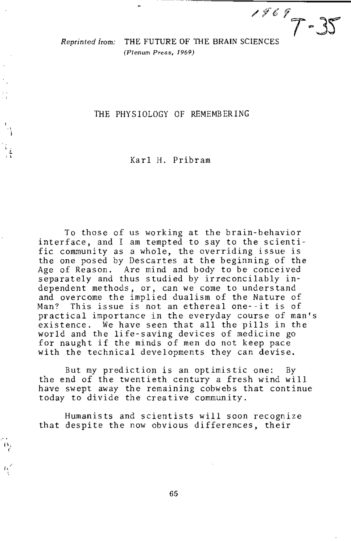Reprinted from: THE FUTURE OF THE BRAIN SCIENCES

*(Plenum Press, 1969)*

### THE PHYSIOLOGY OF REMEMBERING

#### Karl H. Pribram

.<br>.<br>. • I

,- <sup>I</sup>

 $E^2$ ։<br>1

To those of us working at the brain-behavior interface, and I am tempted to say to the scientific community as a whole, the overriding issue is the one posed by Descartes at the beginning of the Age of Reason. Are mind and body to be conceived separately and thus studied by irreconcilably independent methods, or, can we come to understand and overcome the implied dualism of the Nature of Man? This issue is not an ethereal one--it is of practical importance in the everyday course of man's existence. We have seen that all the pills in the world and the life-saving devices of medicine go for naught if the minds of men do not keep pace with the technical developments they can devise.

But my prediction is an optimistic one: By the end of the twentieth century a fresh wind will have swept away the remaining cobwebs that continue today to divide the creative community.

Humanists and scientists will soon recognize that despite the now obvious differences, their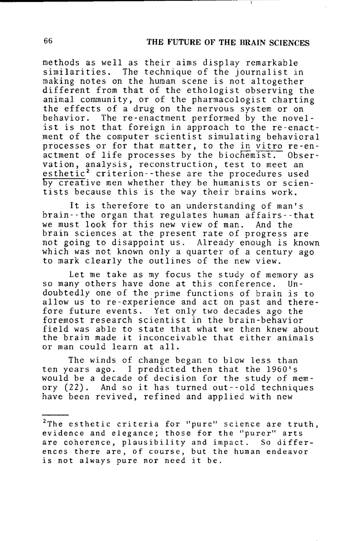methods as well as their aims display remarkable similarities. The technique of the journalist in making notes on the human scene is not altogether different from that of the ethologist observing the animal community, or of the pharmacologist charting the effects of a drug on the nervous system or on behavior. The re-enactment performed by the novelist is not that foreign in approach to the re-enactment of the computer scientist simulating behavioral processes or for that matter, to the in vitro re-enactment of life processes by the biochemist. Observation, analysis, reconstruction, test to meet an esthetic<sup>2</sup> criterion--these are the procedures used by creative men whether they be humanists or scientists because this is the way their brains work.

It is therefore to an understanding of man's brain--the organ that regulates human affairs--that we must look for this new view of man. And the brain sciences at the present rate of progress are not going to disappoint us. Already enough is known which was not known only a quarter of a century ago to mark clearly the outlines of the new view.

Let me take as my focus the study of memory as<br>ny others have done at this conference. Unso many others have done at this conference. doubtedly one of the prime functions of brain is to allow us to re-experience and act on past and therefore future events. Yet only two decades ago the foremost research scientist in the brain-behavior field was able to state that what we then knew about the brain made it inconceivable that either animals or man could learn at all.

The winds of change began to blow less than ten years ago. I predicted then that the 1960's would be a decade of decision for the study of memory (22). And so it has turned out--old techniques have been revived, refined and applied with new

<sup>&</sup>lt;sup>2</sup>The esthetic criteria for "pure" science are truth, evidence and elegance; those for the "purer" arts are coherence, plausibility and impact. So differences there are, of course, but the human endeavor is not always pure nor need it be.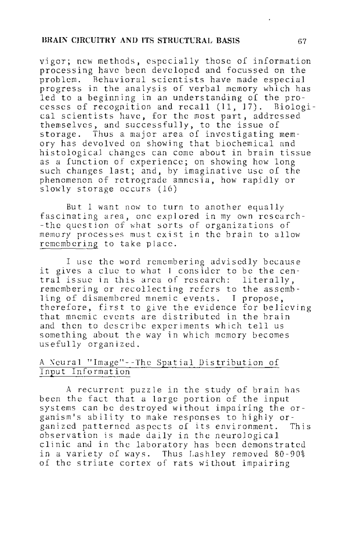vigor; new methods, especially those of information processing have been developed and focussed on the problem. Behavioral scientists have made especial progress in the analysis of verbal memory which has led to a beginning in an understanding of the processes of recognition and recall  $(11, 17)$ . Biological scientists have, for the most part, addressed themselves, and successfully, to the issue of storage. Thus a major area of investigating memory has devolved on showing that biochemical and histological changes can come about in brain tissue as a function of experience; on showing how long such changes last; and, by imaginative use of the phenomenon of retrograde amnesia, how rapidly or slowly storage occurs (16)

But I want now to turn to another equally fascinating area, one explored in my own research- -the question of what sorts of organizations of memory processes must exist in the brain to allow remembering to take place.

I use the word remembering advisedly because it gives <sup>a</sup> clue to what <sup>I</sup> consider to be the central issue in this area of research: literally, remembering or recollecting refers to the assembling of dismembered mnemic events. I propose, therefore, first to give the evidence for believing that mnemic events are distributed in the brain and then to describe experiments which tell us something about the way in which memory becomes usefully organized.

### A Neural "Image"--The Spatial Distribution of Input Information

A recurrent puzzle in the study of brain has been the fact that a large portion of the input systems can be destroyed without impairing the organism's ability to make responses to highly organized patterned aspects of its environment. This observation is made daily in the neurological clinic and in the laboratory has been demonstrated in a variety of ways. Thus Lashley removed 80-90% of the striate cortex of rats without impairing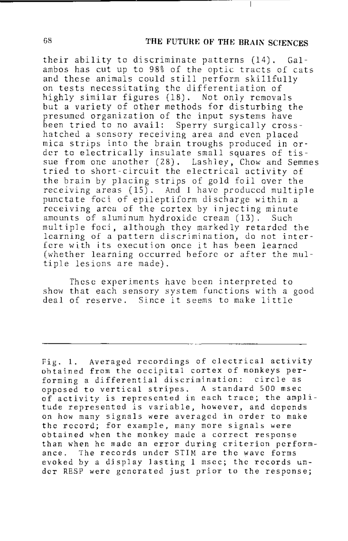$\overline{1}$ 

their ability to discriminate patterns (14). Galambos has cut up to 98% of the optic tracts of cats and these animals could still perform skillfully on tests necessitating the differentiation of highly similar figures (18). Not only removals but a variety of other methods for disturbing the presumed organization of the input systems have been tried to no avail: Sperry surgically crosshatched a sensory receiving area and even placed mica strips into the brain troughs produced in order to electrically insulate small squares of tissue from one another (28). Lashley, Chow and Semmes tried to short-circuit the electrical activity of the brain by placing strips of gold foil over the receiving areas (15). And I have produced multiple punctate foci of epileptiform discharge within a receiving area of the cortex by injecting minute amounts of aluminum hydroxide cream (13). Such multiple foci, although they markedly retarded the learning of a pattern discrimination, do not interfere with its execution once it has been learned (whether learning occurred before or after the multiple lesions are made).

These experiments have been interpreted to show that each sensory system functions with a good deal of reserve. Since it seems to make little

Fig. **1.** Averaged recordings of electrical activity obtained from the occipital cortex of monkeys performing a differential discrimination: circle as opposed to vertical stripes. A standard 500 msec of activity is represented in each trace; the amplitude represented is variable, however, and depends on how many signals were averaged in order to make the record; for example, many more signals were obtained when the monkey made a correct response than when he made an error during criterion performance. The records under STIM are the wave forms evoked by a display lasting 1 msec; the records under RESP were generated just prior to the response;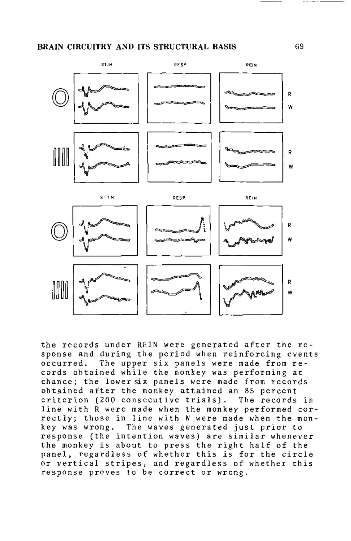

the records under REIN were generated after the response and during the period when reinforcing events<br>occurred. The upper six panels were made from re-The upper six panels were made from records obtained while the monkey was performing at chance; the lower six panels were made from records obtained after the monkey attained an 85 percent<br>criterion (200 consecutive trials). The records in criterion (200 consecutive trials). line with R were made when the monkey performed correctly; those in line with W were made when the monkey was wrong. The waves generated just prior to response (the intention waves) are similar whenever the monkey is about to press the right half of the panel, regardless of whether this is for the circle or vertical stripes, and regardless of whether this response proves to be correct or wrong.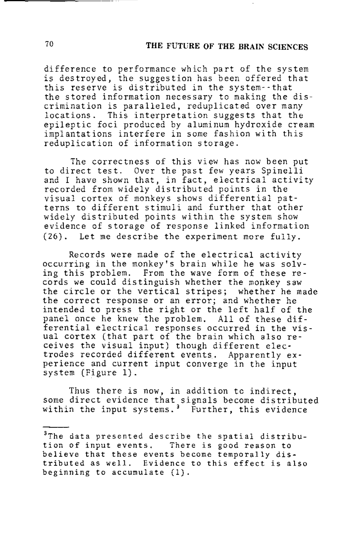difference to performance which part of the system is destroyed, the suggestion has been offered that this reserve is distributed in the system--that the stored information necessary to making the discrimination is paralleled, reduplicated over many locations. This interpretation suggests that the epileptic foci produced by aluminum hydroxide cream implantations interfere in some fashion with this reduplication of information storage.

The correctness of this view has now been put to direct test. Over the past few years Spinelli and I have shown that, in fact, electrical activity recorded from widely distributed points in the visual cortex of monkeys shows differential patterns to different stimuli and further that other widely distributed points within the system show evidence of storage of response linked information (26). Let me describe the experiment more fully.

Records were made of the electrical activity occurring in the monkey's brain while he was solving this problem. From the wave form of these records we could distinguish whether the monkey saw the circle or the vertical stripes; whether he made the correct response or an error; and whether he intended to press the right or the left half of the panel once he knew the problem. All of these differential electrical responses occurred in the visual cortex (that part of the brain which also receives the visual input) though different electrodes recorded different events.. Apparently experience and current input converge in the input system (Figure 1).

Thus there is now, in addition to indirect, some direct evidence that signals become distributed within the input systems.<sup>3</sup> Further, this evidence

<sup>&</sup>lt;sup>3</sup>The data presented describe the spatial distribution of input events. There is good reason to believe that these events become temporally distributed as well. Evidence to this effect is also beginning to accumulate (1).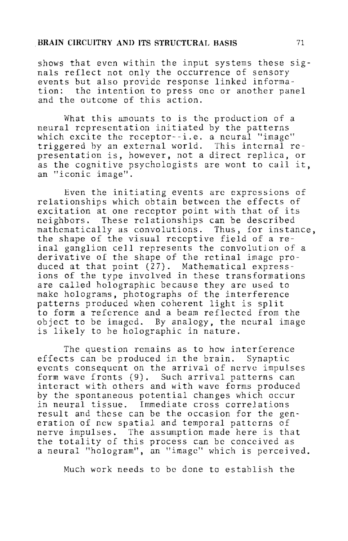shows that even within the input systems these signals reflect not only the occurrence of sensory events but also provide response linked information: the intention to press one or another panel and the outcome of this action.

What this amounts to is the production of a neural representation initiated by the patterns which excite the receptor--i.e. a neural "image" triggered by an external world. This internal representation is, however, not a direct replica, or as the cognitive psychologists are wont to call it. an "iconic image".

Even the initiating events are expressions of relationships which obtain between the effects of excitation at one receptor point with that of its neighbors. These relationships can be described mathematically as convolutions. Thus, for instance, the shape of the visual receptive field of a reinal ganglion cell represents the convolution of a derivative of the shape of the retinal image produced at that point (27). Mathematical expressions of the type involved in these transformations are called holographic because they are used to make holograms, photographs of the interference patterns produced when coherent light is split to form a reference and a beam reflected from the object to be imaged. By analogy, the neural image is likely to be holographic in nature.

The question remains as to how interference effects can be produced in the brain. Synaptic events consequent on the arrival of nerve impulses form wave fronts (9). Such arrival patterns can interact with others and with wave forms produced by the spontaneous potential changes which occur in neural tissue. Immediate cross correlations result and these can be the occasion for the generation of new spatial and temporal patterns of nerve impulses. The assumption made here is that the totality of this process can be conceived as a neural "hologram", an "image" which is perceived.

Much work needs to be done to establish the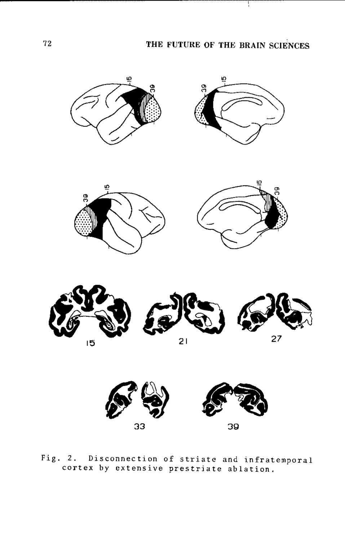Ţ



**15**









Fig. 2. Disconnection of striate and infratemporal cortex by extensive prestriate ablation.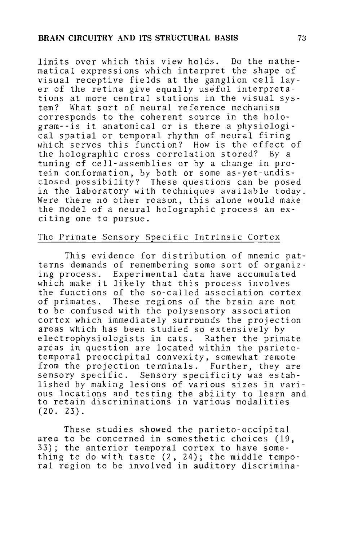limits over which this view holds. Do the mathematical expressions which interpret the shape of visual receptive fields at the ganglion cell layer of the retina give equally useful interpretations at more central stations in the visual system? What sort of neural reference mechanism corresponds to the coherent source in the hologram--is it anatomical or is there <sup>a</sup> physiological spatial or temporal rhythm of neural firing which serves this function? How is the effect of the holographic cross correlation stored? By a tuning of cell-assemblies or by a change in protein conformation, by both or some as-yet-undisclosed possibility? These questions can be posed in the laboratory with techniques available today. Were there no other reason, this alone would make the model of a neural holographic process an exciting one to pursue.

## The Primate Sensory Specific Intrinsic Cortex

This evidence for distribution of mnemic patterns demands of remembering some sort of organizing process. Experimental data have accumulated which make it likely that this process involves the functions of the so-called association cortex of primates. These regions of the brain are not to be confused with the polysensory association cortex which immediately surrounds the projection areas which has been studied so extensively by electrophysiologists in cats. Rather the primate areas in question are located within the parietotemporal preoccipital convexity, somewhat remote from the projection terminals. Further, they are sensory specific. Sensory specificity was established by making lesions of various sizes in various locations and testing the ability to learn and to retain discriminations in various modalities (20. 23).

These studies showed the parieto-occipital area to be concerned in somesthetic choices (19, 33); the anterior temporal cortex to have something to do with taste (2, 24); the middle tempoening be us need taste (2) ship, the middle component ral region to be involved in auditory discrimina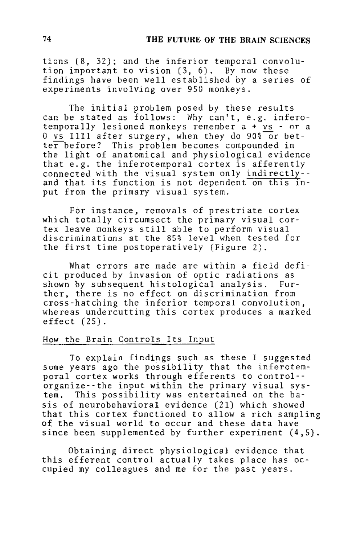tions (8, 32); and the inferior temporal convolution important to vision (3, 6). By now these findings have been well established by a series of experiments involving over 950 monkeys.

The initial problem posed by these results can be stated as follows: Why can't, e.g. inferotemporally lesioned monkeys remember a <sup>+</sup> vs - or a o vs **<sup>1111</sup>** after surgery, when they do 90%-or better-before? This problem becomes compounded in the light of anatomical and physiological evidence that e.g. the inferotemporal cortex is afferently connected with the visual system only indirectly-and that its function is not dependent on this input from the primary visual system.

For instance, removals of prestriate cortex which totally circumsect the primary visual cortex leave monkeys still able to perform visual discriminations at the 85% level when tested for the first time postoperatively (Figure 2).

What errors are made are within a field deficit produced by invasion of optic radiations as<br>shown by subsequent histological analysis. Furshown by subsequent histological analysis. ther, there is no effect on discrimination from cross-hatching the inferior temporal convolution, whereas undercutting this cortex produces a marked effect (25).

#### How the Brain Controls Its Input

To explain findings such as these I suggested some years ago the possibility that the inferotemporal cortex works through efferents to control- organize--the input within the primary visual system. This possibility was entertained on the basis of neurobehavioral evidence (21) which showed that this cortex functioned to allow a rich sampling of the visual world to occur and these data have since been supplemented by further experiment (4,5).

Obtaining direct physiological evidence that this efferent control actually takes place has occupied my colleagues and me for the past years.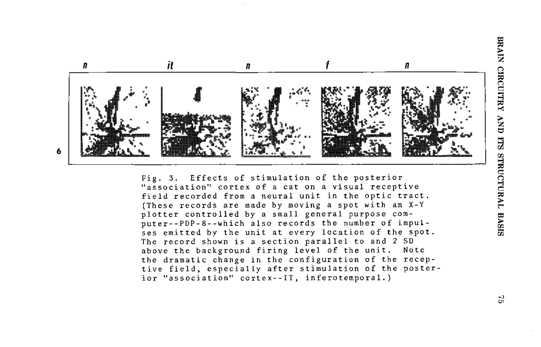

Fig. 3. Effects of stimulation of the posterior "association" cortex of a cat on <sup>a</sup> visual receptive field recorded from <sup>a</sup> neural unit in the optic tract. (These records are made by moving a spot with an X-V plotter controlled by a small general purpose computer--POP-8--which also records the number of impulses emitted by the unit at every location of the spot. The record shown is <sup>a</sup> section parallel to and 2 SO above the background firing level of the unit. Note the dramatic change in the configuration of the receptive field, especially after stimulation of the posterior "association" cortex-- IT, inferotemporal.)

6

 $\mathbf{c}$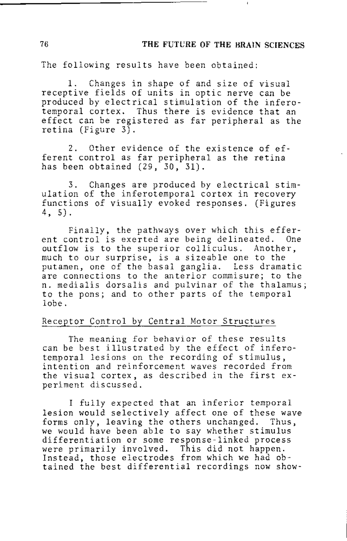The following results have been obtained:

1. Changes in shape of and size of visual receptive fields of units in optic nerve can be produced by electrical stimulation of the inferotemporal cortex. Thus there is evidence that an effect can be registered as far peripheral as the retina (Figure 3).

2. Other evidence of the existence of efferent control as far peripheral as the retina has been obtained  $(29, 30, 31)$ .

3. Changes are produced by electrical stimulation of the inferotemporal cortex in recovery functions of visually evoked responses. (Figures 4, 5).

Finally, the pathways over which this efferent control is exerted are being delineated. One outflow is to the superior colliculus. Another, much to our surprise, is a sizeable one to the putamen, one of the basal ganglia. Less dramatic are connections to the anterior commisure; to the n. medialis dorsalis and pulvinar of the thalamus; to the pons; and to other parts of the temporal lobe.

#### Receptor Control by Central Motor Structures

The meaning for behavior of these results can be best illustrated by the effect of inferotemporal lesions on the recording of stimulus, intention and reinforcement waves recorded from the visual cortex, as described in the first experiment discussed.

I fully expected that an inferior temporal lesion would selectively affect one of these wave<br>forms only, leaving the others unchanged. Thus, forms only, leaving the others unchanged. we would have been able to say whether stimulus differentiation or some response-linked process were primarily involved. This did not happen. Instead, those electrodes from which we had obtained the best differential recordings now show-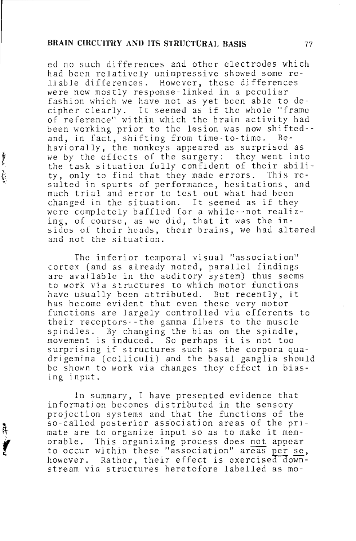平原

ed no such differences and other electrodes which had been relatively unimpressive showed some reliable differences. However, these differences were now mostly response-linked in a peculiar fashion which we have not as yet been able to decipher clearly. It seemed as if the whole "frame of reference" within which the brain activity had been working prior to the lesion was now shifted- and, in fact, shifting from time-to-time. Behaviorally, the monkeys appeared as surprised as we by the effects of the surgery: they went into the task situation fully confident of their ability, only to find that they made errors. This resulted in spurts of performance, hesitations, and much trial and error to test out what had been changed in the situation. It seemed as if they were completely baffled for a while--not realizing, of course, as we did, that it was the insides of their heads, their brains, we had altered and not the situation.

The inferior temporal visual "association" cortex (and as already noted, parallel findings are available in the auditory system) thus seems to work via structures to which motor functions have usually been attributed. But recently, it has become evident that even these very motor functions are largely controlled via efferents to their receptors--the gamma fibers to the muscle spindles. By changing the bias on the spindle, movement is induced. So perhaps it is not too surprising if structures such as the corpora quadrigemina (colliculi) and the basal ganglia should be shown to work via changes they effect in biasing input.

In summary, I have presented evidence that information becomes distributed in the sensory projection systems and that the functions of the so-called posterior association areas of the primate are to organize input so as to make it memorable. This organizing process does not appear to occur within these "association" areas per se, however. Rather, their effect is exercised downstream via structures heretofore labelled as mo-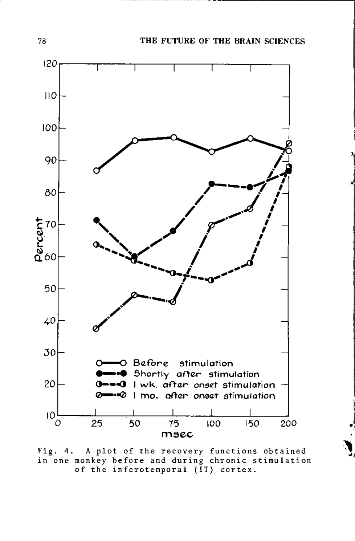

Fig. 4. A plot of the recovery functions obtained in one monkey before and during chronic stimulation of the inferotemporal (IT) cortex.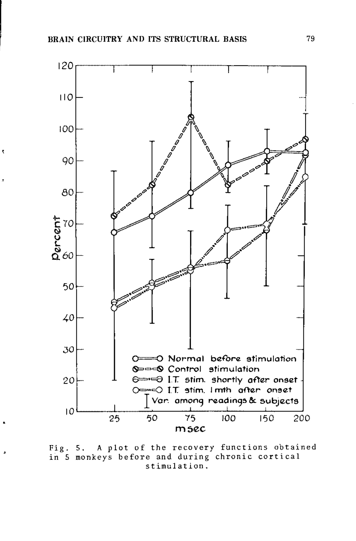$\overline{\mathbf{r}}$ 



Fig. 5. A plot of the recovery functions obtained in 5 monkeys before and during chronic cortical stimulation.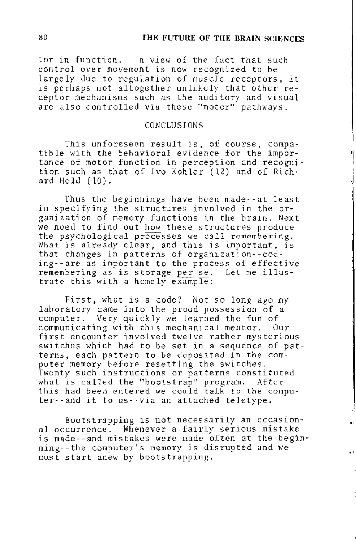'1

,j

tor in function. In view of the fact that such control over movement is now recognized to be largely due to regulation of muscle receptors, it is perhaps not altogether unlikely that other receptor mechanisms such as the auditory and visual are also controlled via these "motor" pathways.

#### CONCLUSIONS

This unforeseen result is, of course, compatible with the behavioral evidence for the importance of motor function in perception and recognition such as that of Ivo Kohler (12) and of Richard Held (10).

Thus the beginnings have been made--at least in specifying the structures involved in the organization of memory functions in the brain. Next we need to find out how these structures produce the psychological processes we call remembering. What is already clear, and this is important, is that changes in patterns of organization--coding--are as important to the process of effective remembering as is storage per se. Let me illustrate this with a homely  $\overline{e}$  xample:

First, what is a code? Not so long ago my laboratory came into the proud possession of a computer. Very quickly we learned the fun of communicating with this mechanical mentor. Our first encounter involved twelve rather mysterious switches which had to be set in a sequence of patterns, each pattern to be deposited in the computer memory before resetting the switches. Twenty such instructions or patterns constituted what is called the "bootstrap" program. After this had been entered we could talk to the computer--and it to us--via an attached teletype.

Bootstrapping is not necessarily an occasional occurrence. Whenever a fairly serious mistake is made--and mistakes were made often at the beginning--the computer's memory is disrupted and we must start anew by bootstrapping.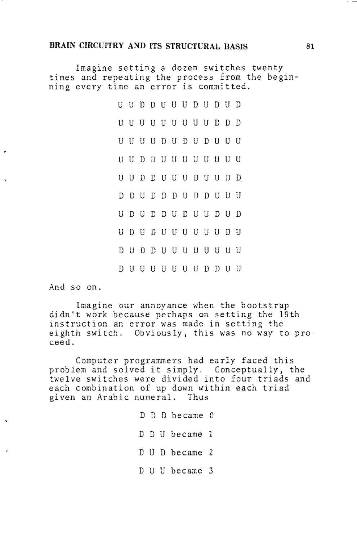Imagine setting a dozen switches twenty times and repeating the process from the beginning every time an error is committed.

> U U D D U U U DUD U D U U U U U U U U U D D D U U U U DUD U D U U U U U D D U U U U U U U U U U D D U U U D U U D D D DUD D DUD D U U U U DUD DUD U U DUD U DUD U U U U U U D U DUD D U U U U U U U U D U U U U U U U D D U U

And so on.

Imagine our annoyance when the bootstrap didn't work because perhaps on setting the 19th instruction an error was made in setting the eighth switch. Obviously, this was no way to proceed.

Computer programmers had early faced this problem and solved it simply. Conceptually, the twelve switches were divided into four triads and each combination of up down within each triad<br>given an Arabic numeral. Thus given an Arabic numeral.

D D D became 0

D D U became 1

D U D became 2

D U U became 3

81

~-~ --- -------------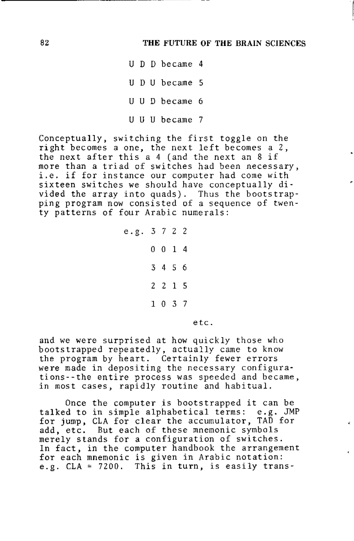'II

U D D became 4

U D U became 5

U U D became 6

U U U became 7

Conceptually, switching the first toggle on the right becomes a one, the next left becomes a 2, the next after this <sup>a</sup> <sup>4</sup> (and the next an <sup>8</sup> if more than a triad of switches had been necessary, i.e. if for instance our computer had come with sixteen switches we should have conceptually divided the array into quads). Thus the bootstrapping program now consisted of a sequence of twenty patterns of four Arabic numerals:

> > etc.

and we were surprised at how quickly those who bootstrapped repeatedly, actually came to know the program by heart. Certainly fewer errors were made in depositing the necessary configurations--the entire process was speeded and became, in most cases, rapidly routine and habitual.

Once the computer is bootstrapped it can be talked to in simple alphabetical terms: e.g. JMP for jump, CLA for clear the accumulator, TAD for add. etc. But each of these mnemonic symbols merely stands for a configuration of switches. In fact, in the computer handbook the arrangement for each mnemonic is given in Arabic notation: e.g. CLA <sup>=</sup> 7200. This in turn, is easily trans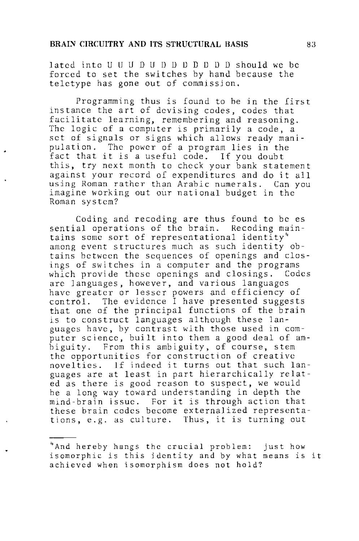lated into U U U DUD D D D D D D should we be forced to set the switches by hand because the teletype has gone out of commission.

Programming thus is found to be in the first instance the art of devising codes, codes that facilitate learning, remembering and reasoning. The logic of a computer is primarily a code, a set of signals or signs which allows ready manipulation. The power of a program lies in the fact that it is <sup>a</sup> useful code. If you doubt this, try next month to check your bank statement against your record of expenditures and do it all using Roman rather than Arabic numerals. Can you imagine working out our national budget in the Roman system?

Coding and recoding are thus found to be es sential operations of the brain. Recoding maintains some sort of representational identity<sup>4</sup> among event structures much as such identity obtains between the sequences of openings and closings of switches in a computer and the programs which provide these openings and closings. Codes are languages, however, and various languages have greater or lesser powers and efficiency of control. The evidence I have presented suggests that one of the principal functions of the brain is to construct languages although these languages have, by contrast with those used in computer science, built into them a good deal of ambiguity. From this ambiguity, of course, stem the opportunities for construction of creative novelties. If indeed it turns out that such languages are at least in part hierarchically related as there is good reason to suspect, we would be a long way toward understanding in depth the mind-brain issue. For it is through action that these brain codes become externalized representations, e.g. as culture. Thus, it is turning out

<sup>~</sup>And hereby hangs the crucial problem: just how isomorphic is this identity and by what means is it achieved when isomorphism does not hold?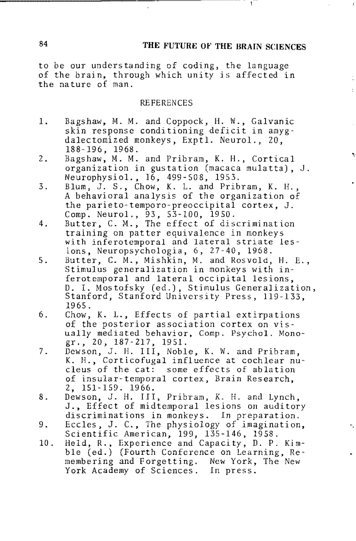$\frac{1}{4}$ ÷

to be our understanding of coding, the language of the brain, through which unity is affected in the nature of man.

## REFERENCES

- 1. Bagshaw, M. M. and Coppock, H. W., Galvanic skin response conditioning deficit in amygdalectomized monkeys, Exptl. Neurol., 20, 188-196, 1968.
- 2. Bagshaw, M. M. and Pribram, K. H., Cortical organization in gustation (macaca mulatta), J. Neurophysiol., 16, 499-508, 1953.
- 3. Blum, J. S., Chow, K. L. and Pribram, K. H., A behavioral analysis of the organization of the parieto-temporo-preoccipital cortex, J. Comp. Neurol., 93, 53-100, 1950.
- 4. Butter, C. M., The effect of discrimination training on patter equivalence in monkeys with inferotemporal and lateral striate lesions, Neuropsycho10gia, 6, 27-40, 1968.
- 5. Butter, C. M., MishKin, M. and Rosvold, H. E., Stimulus generalization in monkeys with inferotemporal and lateral occipital lesions, D. I. Mostofsky (ed.), Stimulus Generalization, Stanford, Stanford University Press, 119-133, 1965.
- 6. Chow, K. L., Effects of partial extirpations of the posterior association cortex on visually mediated behavior, Comp. Psychol. Monogr., 20, 187-217, 1951.
- 7. Dewson, J. H. III, Noble, K. W. and Pribram, K. H., Corticofugal influence at cochlear nucleus of the cat: some effects of ablation of insular-temporal cortex, Brain Research, 2, 151-159. 1966.
- 8. Dewson, J. H. III, Pribram, K. H. and Lynch, J., Effect of midtemporal lesions on auditory discriminations in monkeys. In preparation.
- 9. Eccles, J. C., The physiology of imagination, Scientific American, 199, 135-146, 1958.
- 10. Held, R., Experience and Capacity, D. P. Kimble (ed.) (Fourth Conference on Learning, Remembering and Forgetting. New York, The New York Academy of Sciences. In press.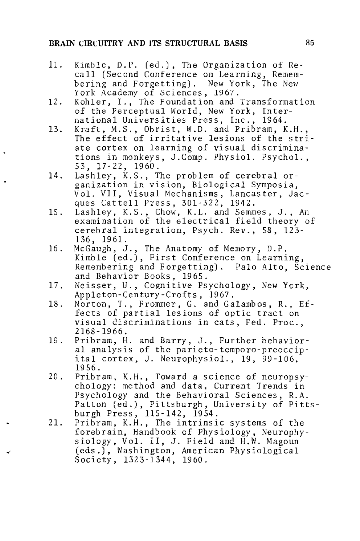- 11. Kimble, D.P. (ed.), The Organization of Recall (Second Conference on Learning, Remembering and Forgetting). New York, The New York Academy of Sciences, 1967.
- 12. Kohler, I., The Foundation and Transformation of the Perceptual World, New York, International Universities Press, Inc., 1964.
- 13. Kraft, M.S., Obrist, W.D. and Pribram, K.H., The effect of irritative lesions of the striate cortex on learning of visual discriminations in monkeys, J.Comp. Physiol. Psychol., 53, 17-22, 1960.
- 14. Lashley, K.S., The problem of cerebral organization in vision, Biological Symposia, Vol. VII, Visual Mechanisms, Lancaster, Jacques Cattell Press, 301-322, 1942.
- 15. Lashley, K.S., Chow, K.L. and Semmes, J., An examination of the electrical field theory of cerebral integration, Psych. Rev., 58, 123- 136, 1961.
- 16. McGaugh, J., The Anatomy of Memory, D.P. Kimble (ed.), First Conference on Learning, Remembering and Forgetting). Palo Alto, Science and Behavior Books, 1965.
- 17. Neisser, U., Cognitive Psychology, New York, Appleton-Century-Crofts, 1967.
- 18. Norton, T., Frommer, G. and Galambos, R., Effects of partial lesions of optic tract on visual discriminations in cats, Fed. Proc., 2168-1966.
- 19. Pribram, H. and Barry, J., Further behavioral analysis of the parieto-temporo-preoccipital cortex, J. Neurophysiol., 19, 99-106. 1956.
- 20. Pribram. K.H., Toward a science of neuropsychology: method and data. Current Trends in Psychology and the Behavioral Sciences, R.A. Patton (ed.), Pittsburgh, University of Pittsburgh Press, 115-142, 1954.
- 21. Pribram, K.H., The intrinsic systems of the forebrain, Handbook of Physiology, Neurophysiology, Vol. II, J. Field and H.W. Magoun (eds.), Washington, American Physiological Society, 1323-1344, 1960.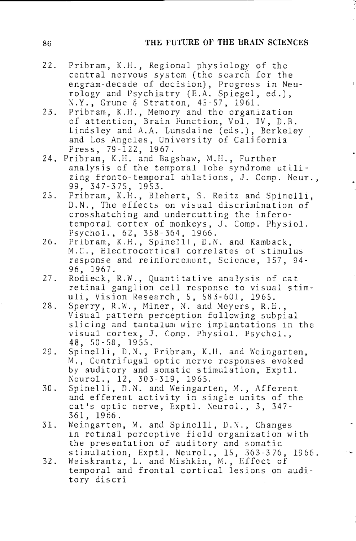.'

- 22. Pribram, K.H., Regional physiology of the central nervous system (the search for the engram-decade of decision), Progress in Neurology and Psychiatry (E.A. Spiegel, ed.),  $N.Y.$ , Grune & Stratton, 45-57, 1961.
- 23. Pribram, K.H., Memory and the organization of attention, Brain Function, Vol. IV, D.B. Lindsley and A.A. Lumsdaine (eds.), Berkeley and Los Angeles, University of California Press, 79-122, 1967.
- 24. Pribram, K.H. and Bagshaw, M.H., Further analysis of the temporal lobe syndrome utilizing fronto-temporal ablations, J. Comp. Neur., 99, 347-375, 1953.
- 25. Pribram, K.H., Blehert, S. Reitz and Spinelli, D.N., The effects on visual discrimination of crosshatching and undercutting the inferotemporal cortex of monkeys, J. Comp. Physiol. Psychol., 62, 358-364, 1966.
- 26. Pribram, K.H., Spinelli, D.N. and Kamback, M.C., Electrocortical correlates of stimulus response and reinforcement, Science, 157, 94- 96, 1967.
- 27. Rodieck, R.W., Quantitative analysis of cat retinal ganglion cell response to visual stimuli, Vision Research, 5, 583-601, 1965.
- 28. Sperry, R.W., Miner, N. and Meyers, R.E., Visual pattern perception following subpial slicing and tantalum wire implantations in the visual cortex, J. Comp. Physiol. Psychol., 48, SO-58, 1955.
- 29. Spinelli, D.N., Pribram, K.H. and Weingarten, M., Centrifugal optic nerve responses evoked by auditory and somatic stimulation, Exptl. Neurol., 12, 303-319, 1965.
- 30. Spinelli, D.N. and Weingarten, M., Afferent and efferent activity in single units of the cat's optic nerve, Exptl. Neurol., 3, 347- 361, 1966.
- 31. Weingarten, M. and Spinelli, D.N., Changes in retinal perceptive field organization with the presentation of auditory and somatic stimulation, Exptl. Neurol., IS, 363-376, 1966.
- 32. Weiskrantz, L. and Mishkin, M., Effect of temporal and frontal cortical lesions on auditory dis cri